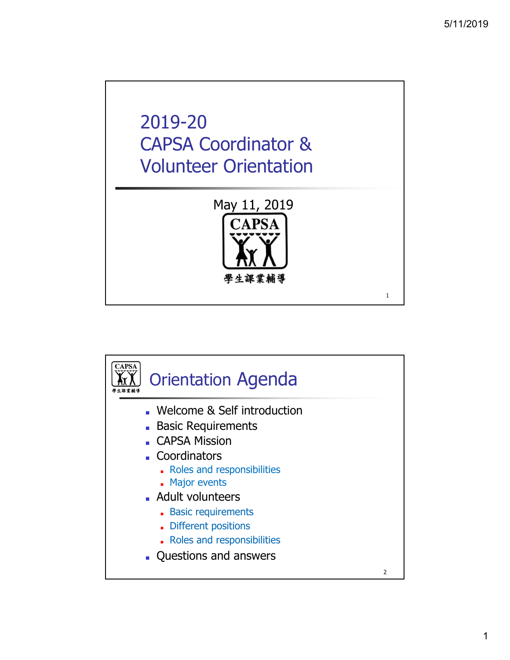## 2019-20 CAPSA Coordinator & Volunteer Orientation May 11, 2019 **CAPSA**

學生課業輔導



1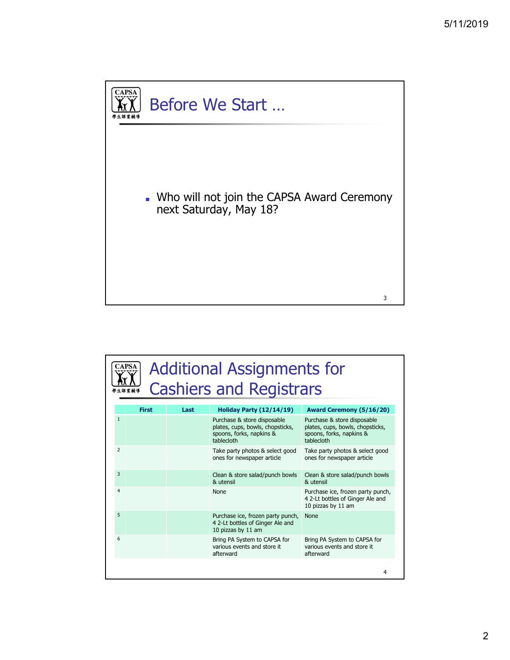

| CAPS.          |              |      | <b>Additional Assignments for</b><br><b>Cashiers and Registrars</b>                                       |                                                                                                           |
|----------------|--------------|------|-----------------------------------------------------------------------------------------------------------|-----------------------------------------------------------------------------------------------------------|
|                | <b>First</b> | Last | Holiday Party (12/14/19)                                                                                  | Award Ceremony (5/16/20)                                                                                  |
| $\mathbf{1}$   |              |      | Purchase & store disposable<br>plates, cups, bowls, chopsticks,<br>spoons, forks, napkins &<br>tablecloth | Purchase & store disposable<br>plates, cups, bowls, chopsticks,<br>spoons, forks, napkins &<br>tablecloth |
| $\overline{2}$ |              |      | Take party photos & select good<br>ones for newspaper article                                             | Take party photos & select good<br>ones for newspaper article                                             |
| 3              |              |      | Clean & store salad/punch bowls<br>& utensil                                                              | Clean & store salad/punch bowls<br>& utensil                                                              |
| $\overline{4}$ |              |      | <b>None</b>                                                                                               | Purchase ice, frozen party punch,<br>4 2-Lt bottles of Ginger Ale and<br>10 pizzas by 11 am               |
| 5              |              |      | Purchase ice, frozen party punch,<br>4 2-Lt bottles of Ginger Ale and<br>10 pizzas by 11 am               | <b>None</b>                                                                                               |
| 6              |              |      | Bring PA System to CAPSA for<br>various events and store it<br>afterward                                  | Bring PA System to CAPSA for<br>various events and store it<br>afterward                                  |
|                |              |      |                                                                                                           | 4                                                                                                         |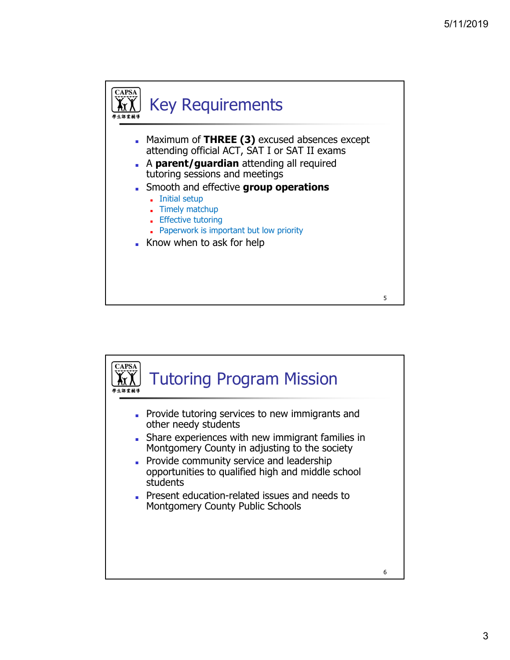

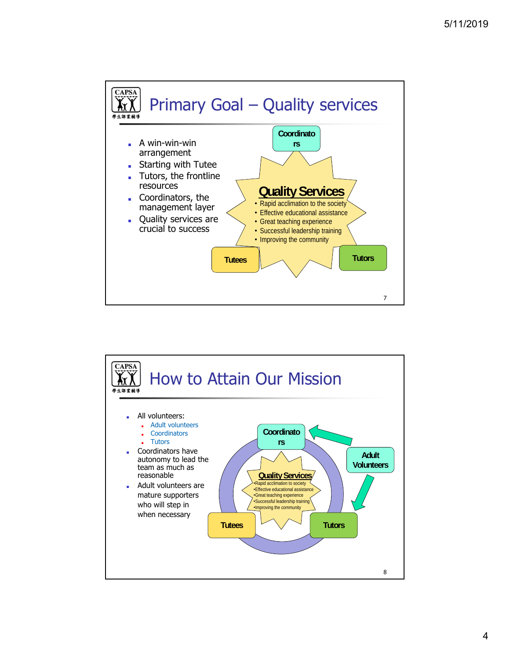

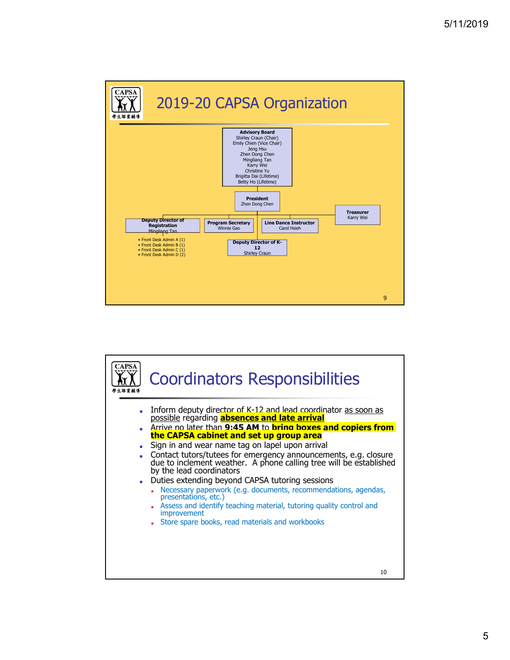

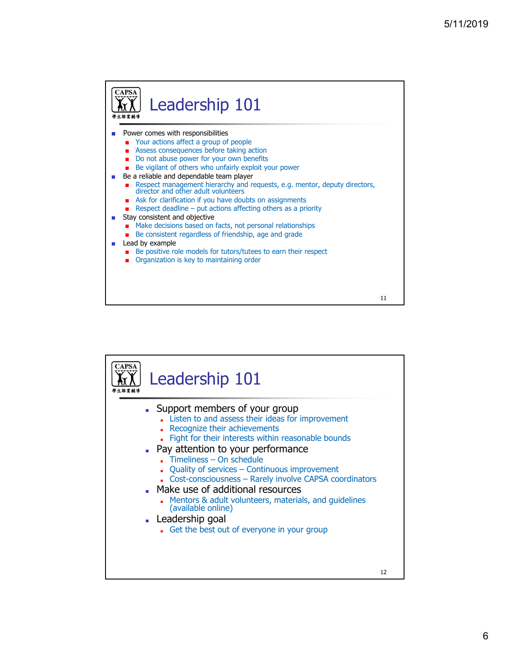

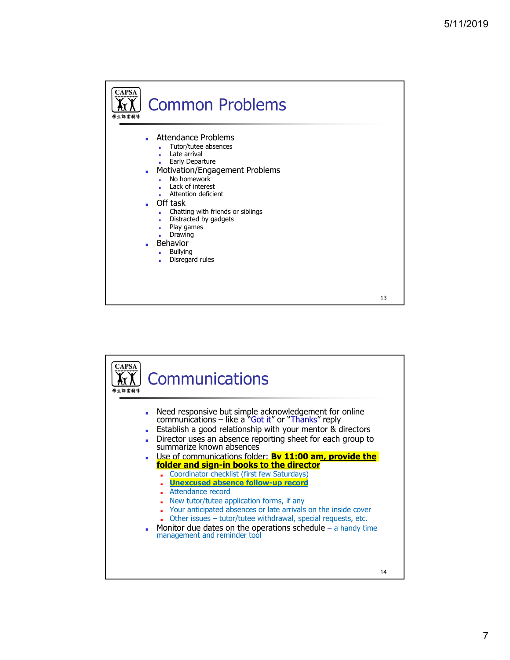

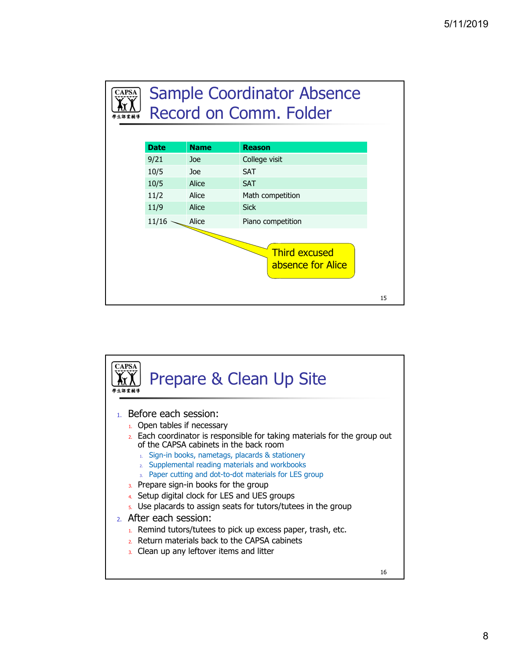

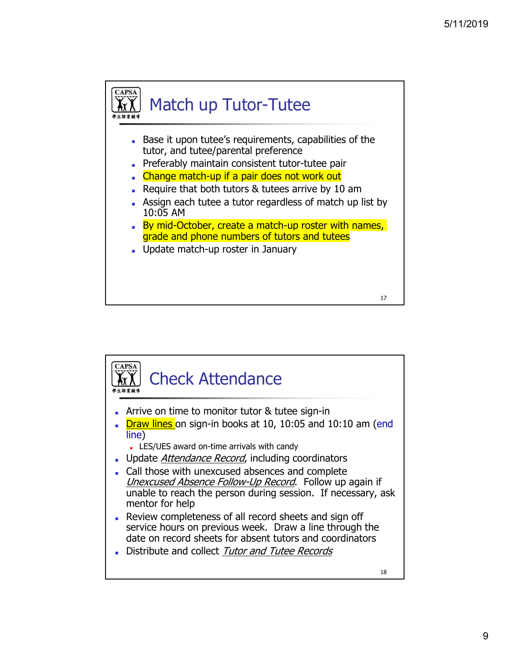

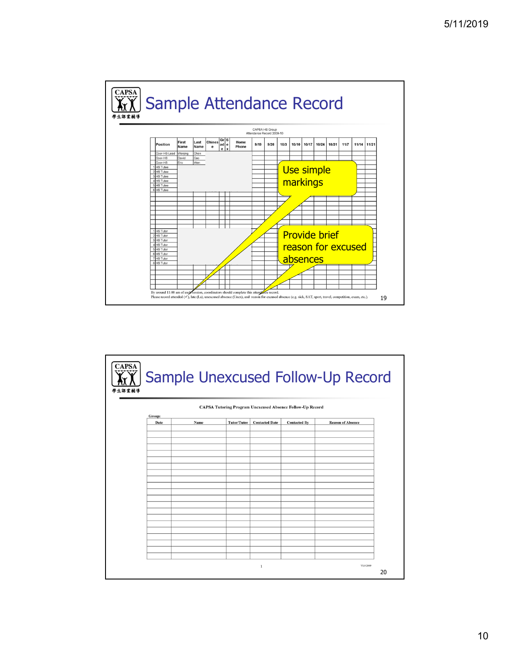

|        |                                                                  | Sample Unexcused Follow-Up Record |                       |                     |                          |  |  |
|--------|------------------------------------------------------------------|-----------------------------------|-----------------------|---------------------|--------------------------|--|--|
| Group: | <b>CAPSA Tutoring Program Unexcused Absence Follow-Up Record</b> |                                   |                       |                     |                          |  |  |
| Date   | Name                                                             | <b>Tutor/Tutee</b>                | <b>Contacted Date</b> | <b>Contacted By</b> | <b>Reason of Absence</b> |  |  |
|        |                                                                  |                                   |                       |                     |                          |  |  |
|        |                                                                  |                                   |                       |                     |                          |  |  |
|        |                                                                  |                                   |                       |                     |                          |  |  |
|        |                                                                  |                                   |                       |                     |                          |  |  |
|        |                                                                  |                                   |                       |                     |                          |  |  |
|        |                                                                  |                                   |                       |                     |                          |  |  |
|        |                                                                  |                                   |                       |                     |                          |  |  |
|        |                                                                  |                                   |                       |                     |                          |  |  |
|        |                                                                  |                                   |                       |                     |                          |  |  |
|        |                                                                  |                                   |                       |                     |                          |  |  |
|        |                                                                  |                                   |                       |                     |                          |  |  |
|        |                                                                  |                                   |                       |                     |                          |  |  |
|        |                                                                  |                                   |                       |                     |                          |  |  |
|        |                                                                  |                                   |                       |                     |                          |  |  |
|        |                                                                  |                                   |                       |                     |                          |  |  |
|        |                                                                  |                                   |                       |                     |                          |  |  |
|        |                                                                  |                                   |                       |                     |                          |  |  |
|        |                                                                  |                                   |                       |                     |                          |  |  |
|        |                                                                  |                                   |                       |                     |                          |  |  |
|        |                                                                  |                                   | 1                     |                     | V1.0 2009                |  |  |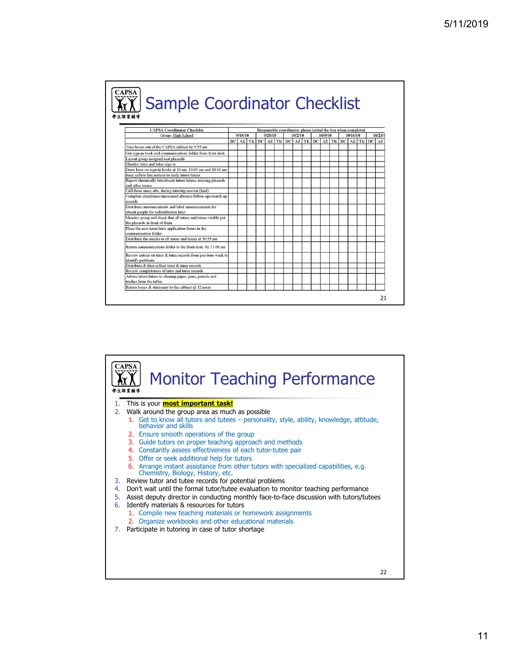| <b>Sample Coordinator Checklist</b>                                                                               |  |                    |  |         |  |         |                                                               |  |          |         |                                         |  |  |  |
|-------------------------------------------------------------------------------------------------------------------|--|--------------------|--|---------|--|---------|---------------------------------------------------------------|--|----------|---------|-----------------------------------------|--|--|--|
| 學生課業輔導                                                                                                            |  |                    |  |         |  |         |                                                               |  |          |         |                                         |  |  |  |
| <b>CAPSA Coordinator Checklist</b>                                                                                |  |                    |  |         |  |         | Responsible coordinator please initial the box when completed |  |          |         |                                         |  |  |  |
| Group: High School                                                                                                |  | 9/25/10<br>9/18/10 |  | 10/2/10 |  | 10/9/10 |                                                               |  | 10/16/10 | 10/23/1 |                                         |  |  |  |
|                                                                                                                   |  |                    |  |         |  |         | $DC$ AZ TK DC AZ TK DC AZ TK                                  |  |          |         | $DC$ $AZ$ $TK$ $DC$ $AZ$ $TK$ $DC$ $AZ$ |  |  |  |
| Take boxes out of the CAPSA cabinet by 9:55 am                                                                    |  |                    |  |         |  |         |                                                               |  |          |         |                                         |  |  |  |
| Get sign-in book and communications folder from front desk                                                        |  |                    |  |         |  |         |                                                               |  |          |         |                                         |  |  |  |
| Lavout group assigned seat placards                                                                               |  |                    |  |         |  |         |                                                               |  |          |         |                                         |  |  |  |
| Monitor tutor and tutee sign in                                                                                   |  |                    |  |         |  |         |                                                               |  |          |         |                                         |  |  |  |
| Draw lines on sign-in books at 10 am, 10:05 am and 10:10 am                                                       |  |                    |  |         |  |         |                                                               |  |          |         |                                         |  |  |  |
| Issue vellow late notices to tardy tutors/tutees                                                                  |  |                    |  |         |  |         |                                                               |  |          |         |                                         |  |  |  |
| Report chronically late/absent tutors/tutees, missing placards                                                    |  |                    |  |         |  |         |                                                               |  |          |         |                                         |  |  |  |
| and other issues                                                                                                  |  |                    |  |         |  |         |                                                               |  |          |         |                                         |  |  |  |
| Call those unex./abs. during tutoring session (lead)<br>Complete attendence/unexcused absence follow-ups/match up |  |                    |  |         |  |         |                                                               |  |          |         |                                         |  |  |  |
| records                                                                                                           |  |                    |  |         |  |         |                                                               |  |          |         |                                         |  |  |  |
| Distribute announcements and label announcements for<br>absent people for redistribution later                    |  |                    |  |         |  |         |                                                               |  |          |         |                                         |  |  |  |
| Monitor group and check that all tutors and tutees visibly put<br>the placards in front of them                   |  |                    |  |         |  |         |                                                               |  |          |         |                                         |  |  |  |
| Place the new tutee/tutor application forms in the<br>communication folder                                        |  |                    |  |         |  |         |                                                               |  |          |         |                                         |  |  |  |
| Distribute the snacks to all tutors and tutees at 10:55 am                                                        |  |                    |  |         |  |         |                                                               |  |          |         |                                         |  |  |  |
| Return communications folder to the front desk by 11:00 am                                                        |  |                    |  |         |  |         |                                                               |  |          |         |                                         |  |  |  |
| Review entries on tutor & tutee records from previous week to<br>identify problems                                |  |                    |  |         |  |         |                                                               |  |          |         |                                         |  |  |  |
| Distribute & then collect tutor & tutee records                                                                   |  |                    |  |         |  |         |                                                               |  |          |         |                                         |  |  |  |
| Review completeness of tutor and tutee records                                                                    |  |                    |  |         |  |         |                                                               |  |          |         |                                         |  |  |  |
| Advise tutors/tutees to cleanup paper, pens, pencils and<br>trashes from the tables                               |  |                    |  |         |  |         |                                                               |  |          |         |                                         |  |  |  |
| Return boxes & stationary to the cabinet @ 12 noon                                                                |  |                    |  |         |  |         |                                                               |  |          |         |                                         |  |  |  |

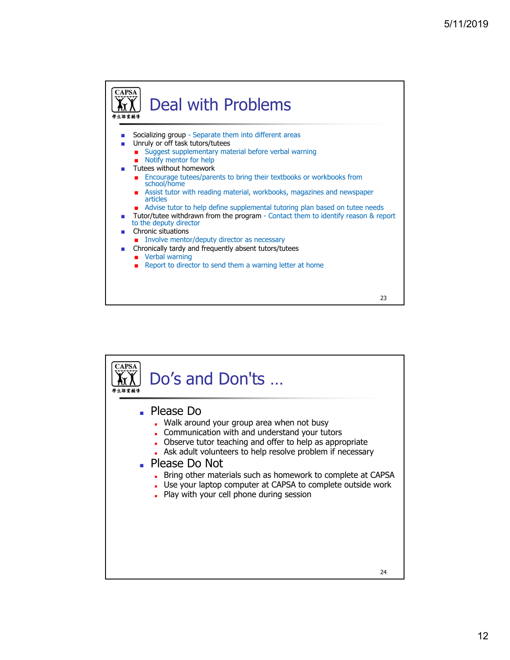

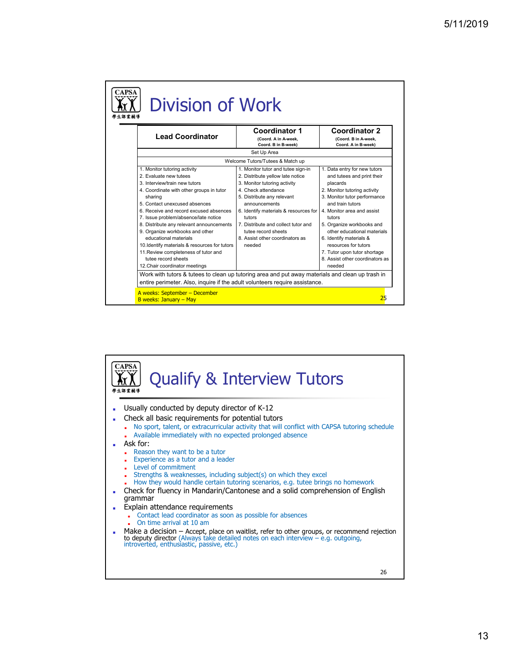| <b>Lead Coordinator</b>                                                                                                                                                                                                                                                                                                                                                                                                                                                                                                     | <b>Coordinator 1</b><br>(Coord. A in A-week,<br>Coord. B in B-week)                                                                                                                                                                                                                                                                        | <b>Coordinator 2</b><br>(Coord. B in A-week,<br>Coord. A in B-week)                                                                                                                                                                                                                                                                                                                            |
|-----------------------------------------------------------------------------------------------------------------------------------------------------------------------------------------------------------------------------------------------------------------------------------------------------------------------------------------------------------------------------------------------------------------------------------------------------------------------------------------------------------------------------|--------------------------------------------------------------------------------------------------------------------------------------------------------------------------------------------------------------------------------------------------------------------------------------------------------------------------------------------|------------------------------------------------------------------------------------------------------------------------------------------------------------------------------------------------------------------------------------------------------------------------------------------------------------------------------------------------------------------------------------------------|
|                                                                                                                                                                                                                                                                                                                                                                                                                                                                                                                             | Set Up Area                                                                                                                                                                                                                                                                                                                                |                                                                                                                                                                                                                                                                                                                                                                                                |
|                                                                                                                                                                                                                                                                                                                                                                                                                                                                                                                             | Welcome Tutors/Tutees & Match up                                                                                                                                                                                                                                                                                                           |                                                                                                                                                                                                                                                                                                                                                                                                |
| 1. Monitor tutoring activity<br>2. Evaluate new tutees<br>3. Interview/train new tutors<br>4. Coordinate with other groups in tutor<br>sharing<br>5. Contact unexcused absences<br>6. Receive and record excused absences<br>7. Issue problem/absence/late notice<br>8. Distribute any relevant announcements<br>9. Organize workbooks and other<br>educational materials<br>10. Identify materials & resources for tutors<br>11. Review completeness of tutor and<br>tutee record sheets<br>12. Chair coordinator meetings | 1. Monitor tutor and tutee sign-in<br>2. Distribute yellow late notice<br>3. Monitor tutoring activity<br>4. Check attendance<br>5. Distribute any relevant<br>announcements<br>6. Identify materials & resources for<br>tutors<br>7. Distribute and collect tutor and<br>tutee record sheets<br>8. Assist other coordinators as<br>needed | 1. Data entry for new tutors<br>and tutees and print their<br>placards<br>2. Monitor tutoring activity<br>3. Monitor tutor performance<br>and train tutors<br>4. Monitor area and assist<br>tutors<br>5. Organize workbooks and<br>other educational materials<br>6. Identify materials &<br>resources for tutors<br>7. Tutor upon tutor shortage<br>8. Assist other coordinators as<br>needed |

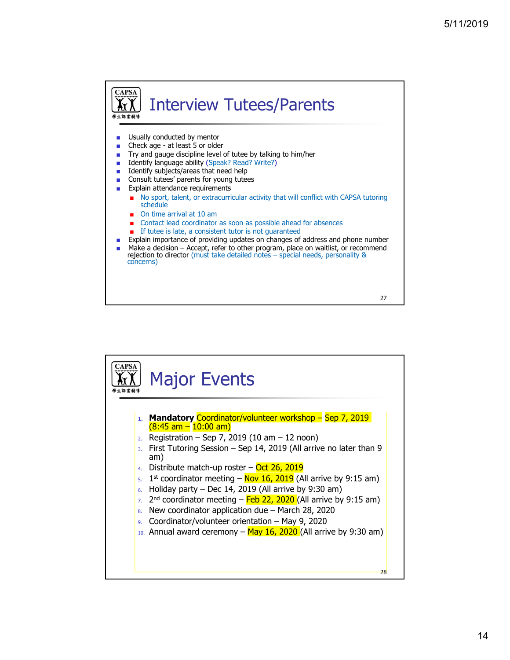

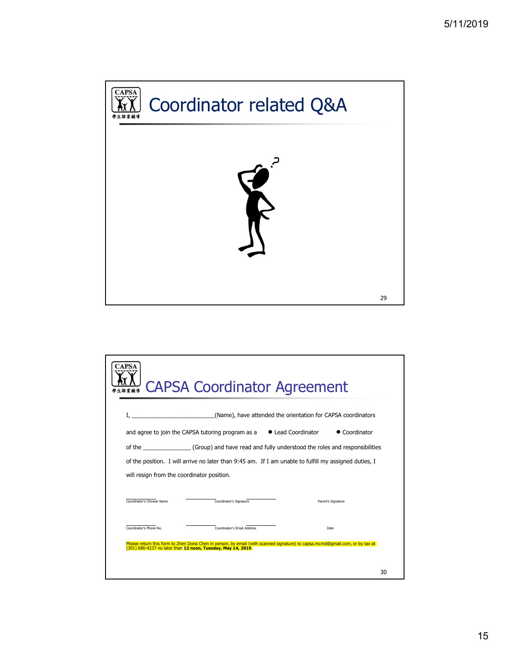

| <b>APSA</b>                | <b>CAPSA Coordinator Agreement</b>                                                                                                                                                           |                                                              |                    |
|----------------------------|----------------------------------------------------------------------------------------------------------------------------------------------------------------------------------------------|--------------------------------------------------------------|--------------------|
|                            |                                                                                                                                                                                              | (Name), have attended the orientation for CAPSA coordinators |                    |
|                            | and agree to join the CAPSA tutoring program as a                                                                                                                                            | • Lead Coordinator                                           | • Coordinator      |
|                            | of the (Group) and have read and fully understood the roles and responsibilities                                                                                                             |                                                              |                    |
|                            | of the position. I will arrive no later than 9:45 am. If I am unable to fulfill my assigned duties, I                                                                                        |                                                              |                    |
|                            | will resign from the coordinator position.                                                                                                                                                   |                                                              |                    |
| Coordinator's Chinese Name | Coordinator's Signature                                                                                                                                                                      |                                                              | Parent's Signature |
| Coordinator's Phone No.    | Coordinator's Email Address                                                                                                                                                                  |                                                              | Date               |
|                            | Please return this form to Zhen Dong Chen in person, by email (with scanned signature) to capsa.mcmd@gmail.com, or by tax at<br>(301) 686-4237 no later than 12 noon, Tuesday, May 14, 2019. |                                                              |                    |
|                            |                                                                                                                                                                                              |                                                              | 30                 |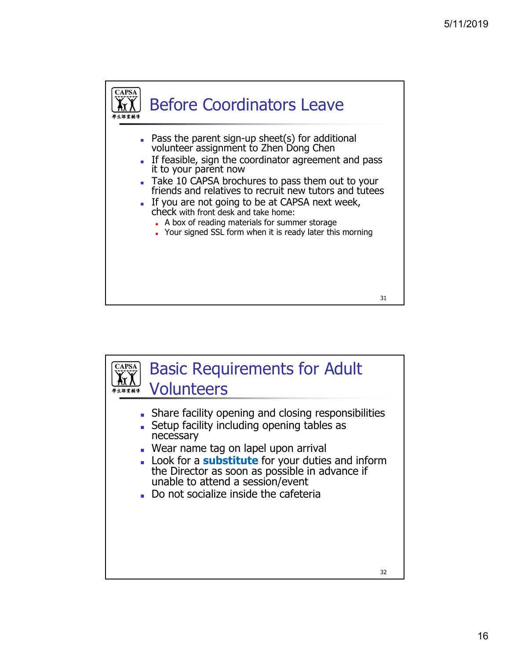

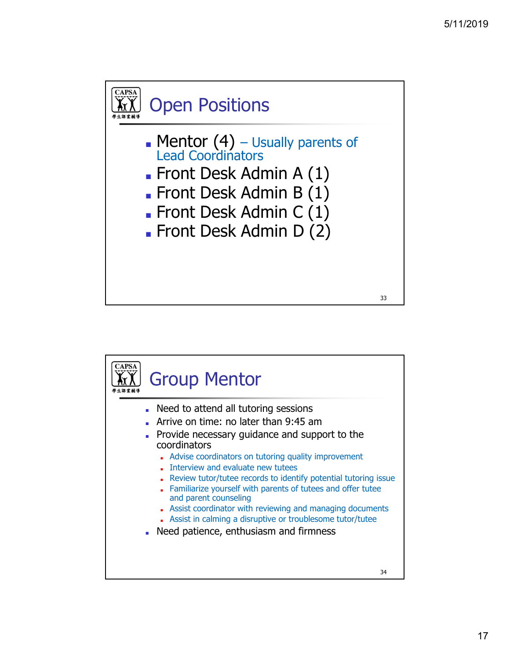

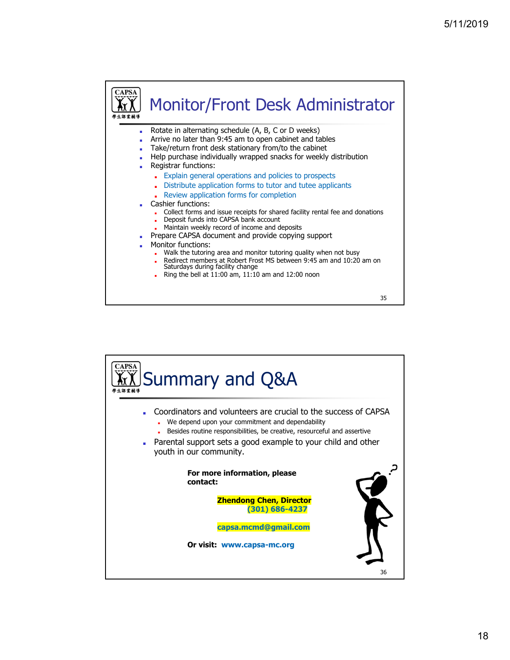